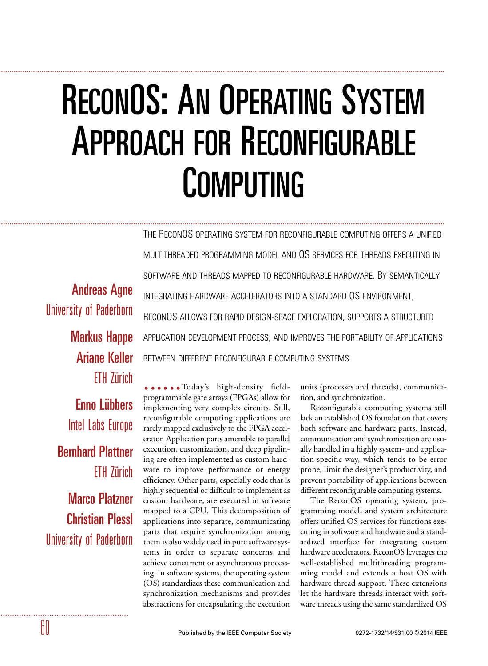# RECONOS: AN OPERATING SYSTEM APPROACH FOR RECONFIGURABLE COMPUTING

.................................................................................................................................................................................................................

.................................................................................................................................................................................................................

Andreas Agne University of Paderborn Markus Happe Ariane Keller **FTH 7ürich** Enno Lühhers Intel Labs Europe Bernhard Plattner **ETH 7ürich** Marco Platzner Christian Plessl University of Paderborn

THE RECONOS OPERATING SYSTEM FOR RECONFIGURABLE COMPUTING OFFERS A UNIFIED MULTITHREADED PROGRAMMING MODEL AND OS SERVICES FOR THREADS EXECUTING IN SOFTWARE AND THREADS MAPPED TO RECONFIGURABLE HARDWARE. BY SEMANTICALLY INTEGRATING HARDWARE ACCELERATORS INTO A STANDARD OS ENVIRONMENT, RECONOS ALLOWS FOR RAPID DESIGN-SPACE EXPLORATION, SUPPORTS A STRUCTURED APPLICATION DEVELOPMENT PROCESS, AND IMPROVES THE PORTABILITY OF APPLICATIONS BETWEEN DIFFERENT RECONFIGURABLE COMPUTING SYSTEMS.

......Today's high-density fieldprogrammable gate arrays (FPGAs) allow for implementing very complex circuits. Still, reconfigurable computing applications are rarely mapped exclusively to the FPGA accelerator. Application parts amenable to parallel execution, customization, and deep pipelining are often implemented as custom hardware to improve performance or energy efficiency. Other parts, especially code that is highly sequential or difficult to implement as custom hardware, are executed in software mapped to a CPU. This decomposition of applications into separate, communicating parts that require synchronization among them is also widely used in pure software systems in order to separate concerns and achieve concurrent or asynchronous processing. In software systems, the operating system (OS) standardizes these communication and synchronization mechanisms and provides abstractions for encapsulating the execution

units (processes and threads), communication, and synchronization.

Reconfigurable computing systems still lack an established OS foundation that covers both software and hardware parts. Instead, communication and synchronization are usually handled in a highly system- and application-specific way, which tends to be error prone, limit the designer's productivity, and prevent portability of applications between different reconfigurable computing systems.

The ReconOS operating system, programming model, and system architecture offers unified OS services for functions executing in software and hardware and a standardized interface for integrating custom hardware accelerators. ReconOS leverages the well-established multithreading programming model and extends a host OS with hardware thread support. These extensions let the hardware threads interact with software threads using the same standardized OS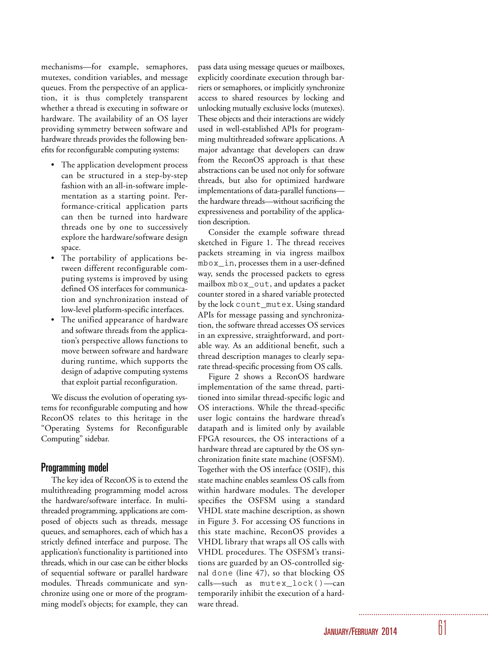mechanisms—for example, semaphores, mutexes, condition variables, and message queues. From the perspective of an application, it is thus completely transparent whether a thread is executing in software or hardware. The availability of an OS layer providing symmetry between software and hardware threads provides the following benefits for reconfigurable computing systems:

- The application development process can be structured in a step-by-step fashion with an all-in-software implementation as a starting point. Performance-critical application parts can then be turned into hardware threads one by one to successively explore the hardware/software design space.
- The portability of applications between different reconfigurable computing systems is improved by using defined OS interfaces for communication and synchronization instead of low-level platform-specific interfaces.
- The unified appearance of hardware and software threads from the application's perspective allows functions to move between software and hardware during runtime, which supports the design of adaptive computing systems that exploit partial reconfiguration.

We discuss the evolution of operating systems for reconfigurable computing and how ReconOS relates to this heritage in the "Operating Systems for Reconfigurable Computing" sidebar.

## Programming model

The key idea of ReconOS is to extend the multithreading programming model across the hardware/software interface. In multithreaded programming, applications are composed of objects such as threads, message queues, and semaphores, each of which has a strictly defined interface and purpose. The application's functionality is partitioned into threads, which in our case can be either blocks of sequential software or parallel hardware modules. Threads communicate and synchronize using one or more of the programming model's objects; for example, they can

pass data using message queues or mailboxes, explicitly coordinate execution through barriers or semaphores, or implicitly synchronize access to shared resources by locking and unlocking mutually exclusive locks (mutexes). These objects and their interactions are widely used in well-established APIs for programming multithreaded software applications. A major advantage that developers can draw from the ReconOS approach is that these abstractions can be used not only for software threads, but also for optimized hardware implementations of data-parallel functions the hardware threads—without sacrificing the expressiveness and portability of the application description.

Consider the example software thread sketched in Figure 1. The thread receives packets streaming in via ingress mailbox mbox\_in, processes them in a user-defined way, sends the processed packets to egress mailbox mbox\_out, and updates a packet counter stored in a shared variable protected by the lock count\_mutex. Using standard APIs for message passing and synchronization, the software thread accesses OS services in an expressive, straightforward, and portable way. As an additional benefit, such a thread description manages to clearly separate thread-specific processing from OS calls.

Figure 2 shows a ReconOS hardware implementation of the same thread, partitioned into similar thread-specific logic and OS interactions. While the thread-specific user logic contains the hardware thread's datapath and is limited only by available FPGA resources, the OS interactions of a hardware thread are captured by the OS synchronization finite state machine (OSFSM). Together with the OS interface (OSIF), this state machine enables seamless OS calls from within hardware modules. The developer specifies the OSFSM using a standard VHDL state machine description, as shown in Figure 3. For accessing OS functions in this state machine, ReconOS provides a VHDL library that wraps all OS calls with VHDL procedures. The OSFSM's transitions are guarded by an OS-controlled signal done (line 47), so that blocking OS calls—such as mutex\_lock()—can temporarily inhibit the execution of a hardware thread. .............................................................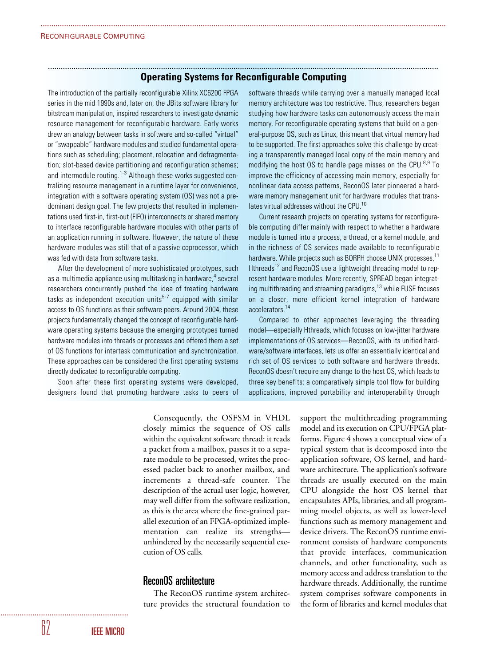#### ....................................................................................................................................................................................... Operating Systems for Reconfigurable Computing

..............................................................................................................................................................................................

The introduction of the partially reconfigurable Xilinx XC6200 FPGA series in the mid 1990s and, later on, the JBits software library for bitstream manipulation, inspired researchers to investigate dynamic resource management for reconfigurable hardware. Early works drew an analogy between tasks in software and so-called "virtual" or "swappable" hardware modules and studied fundamental operations such as scheduling; placement, relocation and defragmentation; slot-based device partitioning and reconfiguration schemes; and intermodule routing.<sup>1-3</sup> Although these works suggested centralizing resource management in a runtime layer for convenience, integration with a software operating system (OS) was not a predominant design goal. The few projects that resulted in implementations used first-in, first-out (FIFO) interconnects or shared memory to interface reconfigurable hardware modules with other parts of an application running in software. However, the nature of these hardware modules was still that of a passive coprocessor, which was fed with data from software tasks.

After the development of more sophisticated prototypes, such as a multimedia appliance using multitasking in hardware, $4$  several researchers concurrently pushed the idea of treating hardware tasks as independent execution units<sup>5-7</sup> equipped with similar access to OS functions as their software peers. Around 2004, these projects fundamentally changed the concept of reconfigurable hardware operating systems because the emerging prototypes turned hardware modules into threads or processes and offered them a set of OS functions for intertask communication and synchronization. These approaches can be considered the first operating systems directly dedicated to reconfigurable computing.

Soon after these first operating systems were developed, designers found that promoting hardware tasks to peers of software threads while carrying over a manually managed local memory architecture was too restrictive. Thus, researchers began studying how hardware tasks can autonomously access the main memory. For reconfigurable operating systems that build on a general-purpose OS, such as Linux, this meant that virtual memory had to be supported. The first approaches solve this challenge by creating a transparently managed local copy of the main memory and modifying the host OS to handle page misses on the CPU.<sup>8,9</sup> To improve the efficiency of accessing main memory, especially for nonlinear data access patterns, ReconOS later pioneered a hardware memory management unit for hardware modules that translates virtual addresses without the CPU.<sup>10</sup>

Current research projects on operating systems for reconfigurable computing differ mainly with respect to whether a hardware module is turned into a process, a thread, or a kernel module, and in the richness of OS services made available to reconfigurable hardware. While projects such as BORPH choose UNIX processes,<sup>11</sup> Hthreads<sup>12</sup> and ReconOS use a lightweight threading model to represent hardware modules. More recently, SPREAD began integrating multithreading and streaming paradigms,<sup>13</sup> while FUSE focuses on a closer, more efficient kernel integration of hardware accelerators.<sup>14</sup>

Compared to other approaches leveraging the threading model—especially Hthreads, which focuses on low-jitter hardware implementations of OS services—ReconOS, with its unified hardware/software interfaces, lets us offer an essentially identical and rich set of OS services to both software and hardware threads. ReconOS doesn't require any change to the host OS, which leads to three key benefits: a comparatively simple tool flow for building applications, improved portability and interoperability through

Consequently, the OSFSM in VHDL closely mimics the sequence of OS calls within the equivalent software thread: it reads a packet from a mailbox, passes it to a separate module to be processed, writes the processed packet back to another mailbox, and increments a thread-safe counter. The description of the actual user logic, however, may well differ from the software realization, as this is the area where the fine-grained parallel execution of an FPGA-optimized implementation can realize its strengths unhindered by the necessarily sequential execution of OS calls.

## ReconOS architecture

The ReconOS runtime system architecture provides the structural foundation to support the multithreading programming model and its execution on CPU/FPGA platforms. Figure 4 shows a conceptual view of a typical system that is decomposed into the application software, OS kernel, and hardware architecture. The application's software threads are usually executed on the main CPU alongside the host OS kernel that encapsulates APIs, libraries, and all programming model objects, as well as lower-level functions such as memory management and device drivers. The ReconOS runtime environment consists of hardware components that provide interfaces, communication channels, and other functionality, such as memory access and address translation to the hardware threads. Additionally, the runtime system comprises software components in the form of libraries and kernel modules that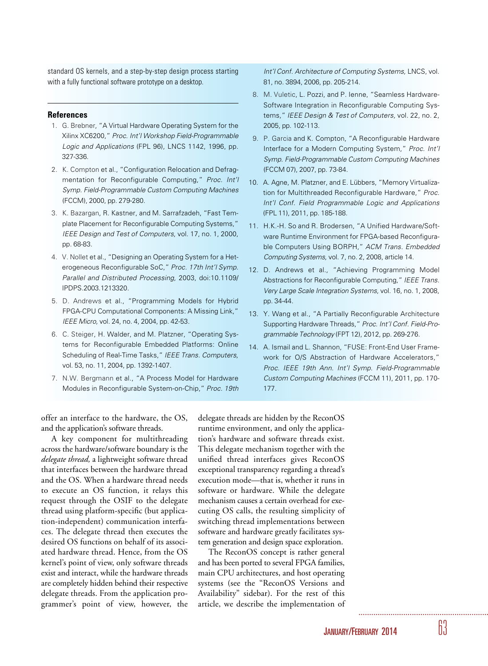standard OS kernels, and a step-by-step design process starting with a fully functional software prototype on a desktop.

#### References

- 1. G. Brebner, "A Virtual Hardware Operating System for the Xilinx XC6200," Proc. Int'l Workshop Field-Programmable Logic and Applications (FPL 96), LNCS 1142, 1996, pp. 327-336.
- 2. K. Compton et al., "Configuration Relocation and Defragmentation for Reconfigurable Computing," Proc. Int'l Symp. Field-Programmable Custom Computing Machines (FCCM), 2000, pp. 279-280.
- 3. K. Bazargan, R. Kastner, and M. Sarrafzadeh, "Fast Template Placement for Reconfigurable Computing Systems," IEEE Design and Test of Computers, vol. 17, no. 1, 2000, pp. 68-83.
- 4. V. Nollet et al., "Designing an Operating System for a Heterogeneous Reconfigurable SoC," Proc. 17th Int'l Symp. Parallel and Distributed Processing, 2003, doi:10.1109/ IPDPS.2003.1213320.
- 5. D. Andrews et al., "Programming Models for Hybrid FPGA-CPU Computational Components: A Missing Link," IEEE Micro, vol. 24, no. 4, 2004, pp. 42-53.
- 6. C. Steiger, H. Walder, and M. Platzner, "Operating Systems for Reconfigurable Embedded Platforms: Online Scheduling of Real-Time Tasks," IEEE Trans. Computers, vol. 53, no. 11, 2004, pp. 1392-1407.
- 7. N.W. Bergmann et al., "A Process Model for Hardware Modules in Reconfigurable System-on-Chip," Proc. 19th

Int'l Conf. Architecture of Computing Systems, LNCS, vol. 81, no. 3894, 2006, pp. 205-214.

- 8. M. Vuletic, L. Pozzi, and P. Ienne, "Seamless Hardware-Software Integration in Reconfigurable Computing Systems," IEEE Design & Test of Computers, vol. 22, no. 2, 2005, pp. 102-113.
- 9. P. Garcia and K. Compton, "A Reconfigurable Hardware Interface for a Modern Computing System," Proc. Int'l Symp. Field-Programmable Custom Computing Machines (FCCM 07), 2007, pp. 73-84.
- 10. A. Agne, M. Platzner, and E. Lübbers, "Memory Virtualization for Multithreaded Reconfigurable Hardware," Proc. Int'l Conf. Field Programmable Logic and Applications (FPL 11), 2011, pp. 185-188.
- 11. H.K.-H. So and R. Brodersen, "A Unified Hardware/Software Runtime Environment for FPGA-based Reconfigurable Computers Using BORPH," ACM Trans. Embedded Computing Systems, vol. 7, no. 2, 2008, article 14.
- 12. D. Andrews et al., "Achieving Programming Model Abstractions for Reconfigurable Computing," IEEE Trans. Very Large Scale Integration Systems, vol. 16, no. 1, 2008, pp. 34-44.
- 13. Y. Wang et al., "A Partially Reconfigurable Architecture Supporting Hardware Threads," Proc. Int'l Conf. Field-Programmable Technology (FPT 12), 2012, pp. 269-276.
- 14. A. Ismail and L. Shannon, "FUSE: Front-End User Framework for O/S Abstraction of Hardware Accelerators," Proc. IEEE 19th Ann. Int'l Symp. Field-Programmable Custom Computing Machines (FCCM 11), 2011, pp. 170- 177.

offer an interface to the hardware, the OS, and the application's software threads.

A key component for multithreading across the hardware/software boundary is the delegate thread, a lightweight software thread that interfaces between the hardware thread and the OS. When a hardware thread needs to execute an OS function, it relays this request through the OSIF to the delegate thread using platform-specific (but application-independent) communication interfaces. The delegate thread then executes the desired OS functions on behalf of its associated hardware thread. Hence, from the OS kernel's point of view, only software threads exist and interact, while the hardware threads are completely hidden behind their respective delegate threads. From the application programmer's point of view, however, the delegate threads are hidden by the ReconOS runtime environment, and only the application's hardware and software threads exist. This delegate mechanism together with the unified thread interfaces gives ReconOS exceptional transparency regarding a thread's execution mode—that is, whether it runs in software or hardware. While the delegate mechanism causes a certain overhead for executing OS calls, the resulting simplicity of switching thread implementations between software and hardware greatly facilitates system generation and design space exploration.

The ReconOS concept is rather general and has been ported to several FPGA families, main CPU architectures, and host operating systems (see the "ReconOS Versions and Availability" sidebar). For the rest of this article, we describe the implementation of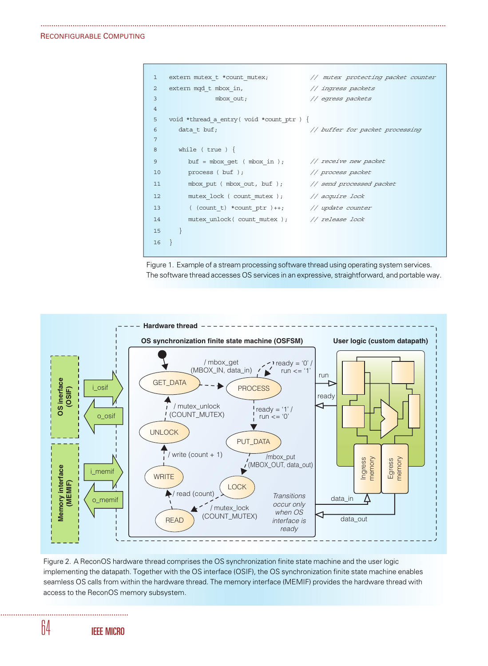#### RECONFIGURABLE COMPUTING

```
1 extern mutex_t *count_mutex; // mutex protecting packet counter
2 extern mqd_t mbox_in, // ingress packets
3 mbox_out; // egress packets
4
5 void *thread a entry( void *count ptr ) {
6 data_t buf; // buffer for packet processing 
7
8 while ( true ) {
9 buf = mbox_get ( mbox_in ); // receive new packet 
10 process ( buf ); // process packet
11 mbox_put ( mbox_out, buf ); // send processed packet
12 mutex_lock ( count_mutex ); // acquire lock
13 ( (count_t) *count_ptr )++; // update counter
14 mutex_unlock( count_mutex ); // release lock
15 }
16 }
```
..............................................................................................................................................................................................

Figure 1. Example of a stream processing software thread using operating system services. The software thread accesses OS services in an expressive, straightforward, and portable way.



Figure 2. A ReconOS hardware thread comprises the OS synchronization finite state machine and the user logic implementing the datapath. Together with the OS interface (OSIF), the OS synchronization finite state machine enables seamless OS calls from within the hardware thread. The memory interface (MEMIF) provides the hardware thread with access to the ReconOS memory subsystem.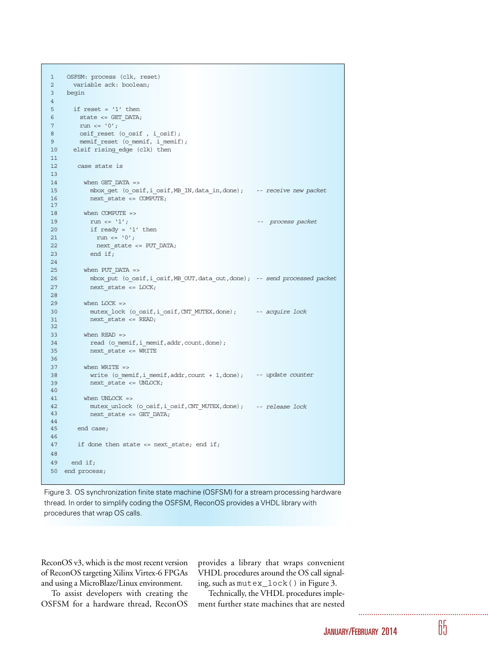```
1 OSFSM: process (clk, reset)
2 variable ack: boolean;
3 begin
4
5 if reset = '1' then
6 state <= GET DATA;
7 run \lt= '0';
8 osif reset (o osif , i osif);
9 memif_reset (o_memif, i_memif);
10 elsif rising_edge (clk) then
11
12 case state is
13
14 when GET DATA =>
15 mbox get (o osif,i osif,MB IN,data in,done);
16 next state \le COMPUTE;
17
18 when COMPUTE =>
19 run <= '1'; -- process packet
20 if ready = '1' then21 run \langle 21 \rangle run \langle 0 \rangle;
22 next_state <= PUT_DATA;<br>23 end if;
        end if;24
25 when PUT DATA =>
26 mbox_put (o_osif,i_osif,MB_OUT,data_out,done);
-- send processed packet
27 next state \leq LOCK;
28
29 when LOCK =>
30 mutex_lock (o_osif,i_osif,CNT_MUTEX,done);
31 next_state <= READ;
32
33 when READ =>
34 read (o_memif,i_memif,addr,count,done);
35 next_state <= WRITE
36
37 when WRITE =38 write (o_memif,i_memif,addr,count + 1,done);
-- update counter
39 next state \epsilon= UNLOCK;
40
41 when UNLOCK =>
42 mutex_unlock (o_osif,i_osif,CNT_MUTEX,done);
43 next state <= GET DATA;
44<br>45end case;
46
47 if done then state <= next state; end if;
48
49 end if;
50 end process;
                                                  -- receive new packet
                                                 -- acquire lock 
                                                  -- release lock
```
Figure 3. OS synchronization finite state machine (OSFSM) for a stream processing hardware thread. In order to simplify coding the OSFSM, ReconOS provides a VHDL library with procedures that wrap OS calls.

ReconOS v3, which is the most recent version of ReconOS targeting Xilinx Virtex-6 FPGAs and using a MicroBlaze/Linux environment.

To assist developers with creating the OSFSM for a hardware thread, ReconOS provides a library that wraps convenient VHDL procedures around the OS call signaling, such as mutex\_lock() in Figure 3.

Technically, the VHDL procedures implement further state machines that are nested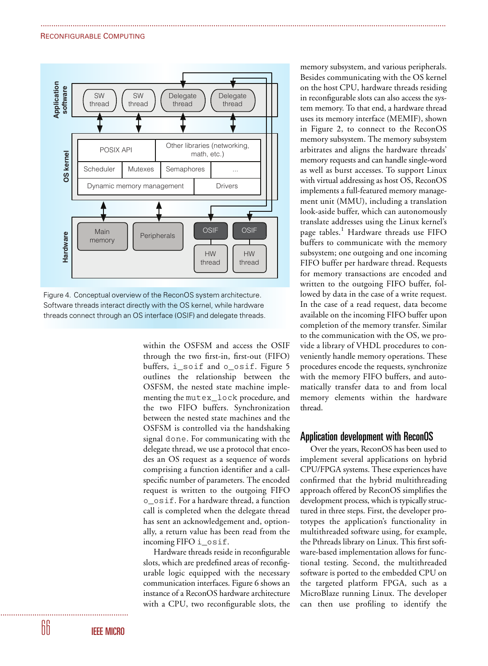

..............................................................................................................................................................................................

Figure 4. Conceptual overview of the ReconOS system architecture. Software threads interact directly with the OS kernel, while hardware threads connect through an OS interface (OSIF) and delegate threads.

within the OSFSM and access the OSIF through the two first-in, first-out (FIFO) buffers, i\_soif and o\_osif. Figure 5 outlines the relationship between the OSFSM, the nested state machine implementing the mutex\_lock procedure, and the two FIFO buffers. Synchronization between the nested state machines and the OSFSM is controlled via the handshaking signal done. For communicating with the delegate thread, we use a protocol that encodes an OS request as a sequence of words comprising a function identifier and a callspecific number of parameters. The encoded request is written to the outgoing FIFO o\_osif. For a hardware thread, a function call is completed when the delegate thread has sent an acknowledgement and, optionally, a return value has been read from the incoming FIFO i\_osif.

Hardware threads reside in reconfigurable slots, which are predefined areas of reconfigurable logic equipped with the necessary communication interfaces. Figure 6 shows an instance of a ReconOS hardware architecture with a CPU, two reconfigurable slots, the memory subsystem, and various peripherals. Besides communicating with the OS kernel on the host CPU, hardware threads residing in reconfigurable slots can also access the system memory. To that end, a hardware thread uses its memory interface (MEMIF), shown in Figure 2, to connect to the ReconOS memory subsystem. The memory subsystem arbitrates and aligns the hardware threads' memory requests and can handle single-word as well as burst accesses. To support Linux with virtual addressing as host OS, ReconOS implements a full-featured memory management unit (MMU), including a translation look-aside buffer, which can autonomously translate addresses using the Linux kernel's page tables. $<sup>1</sup>$  Hardware threads use FIFO</sup> buffers to communicate with the memory subsystem; one outgoing and one incoming FIFO buffer per hardware thread. Requests for memory transactions are encoded and written to the outgoing FIFO buffer, followed by data in the case of a write request. In the case of a read request, data become available on the incoming FIFO buffer upon completion of the memory transfer. Similar to the communication with the OS, we provide a library of VHDL procedures to conveniently handle memory operations. These procedures encode the requests, synchronize with the memory FIFO buffers, and automatically transfer data to and from local memory elements within the hardware thread.

## Application development with ReconOS

Over the years, ReconOS has been used to implement several applications on hybrid CPU/FPGA systems. These experiences have confirmed that the hybrid multithreading approach offered by ReconOS simplifies the development process, which is typically structured in three steps. First, the developer prototypes the application's functionality in multithreaded software using, for example, the Pthreads library on Linux. This first software-based implementation allows for functional testing. Second, the multithreaded software is ported to the embedded CPU on the targeted platform FPGA, such as a MicroBlaze running Linux. The developer can then use profiling to identify the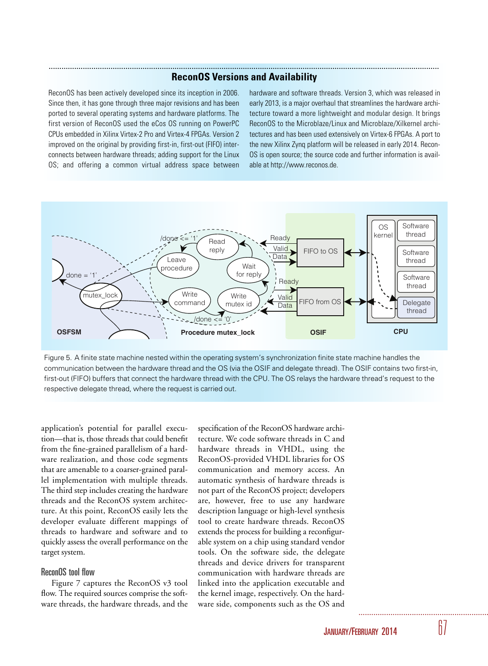#### ReconOS Versions and Availability

ReconOS has been actively developed since its inception in 2006. Since then, it has gone through three major revisions and has been ported to several operating systems and hardware platforms. The first version of ReconOS used the eCos OS running on PowerPC CPUs embedded in Xilinx Virtex-2 Pro and Virtex-4 FPGAs. Version 2 improved on the original by providing first-in, first-out (FIFO) interconnects between hardware threads; adding support for the Linux OS; and offering a common virtual address space between

hardware and software threads. Version 3, which was released in early 2013, is a major overhaul that streamlines the hardware architecture toward a more lightweight and modular design. It brings ReconOS to the Microblaze/Linux and Microblaze/Xilkernel architectures and has been used extensively on Virtex-6 FPGAs. A port to the new Xilinx Zynq platform will be released in early 2014. Recon-OS is open source; the source code and further information is available at http://www.reconos.de.

.......................................................................................................................................................................................



Figure 5. A finite state machine nested within the operating system's synchronization finite state machine handles the communication between the hardware thread and the OS (via the OSIF and delegate thread). The OSIF contains two first-in, first-out (FIFO) buffers that connect the hardware thread with the CPU. The OS relays the hardware thread's request to the respective delegate thread, where the request is carried out.

application's potential for parallel execution—that is, those threads that could benefit from the fine-grained parallelism of a hardware realization, and those code segments that are amenable to a coarser-grained parallel implementation with multiple threads. The third step includes creating the hardware threads and the ReconOS system architecture. At this point, ReconOS easily lets the developer evaluate different mappings of threads to hardware and software and to quickly assess the overall performance on the target system.

## ReconOS tool flow

Figure 7 captures the ReconOS v3 tool flow. The required sources comprise the software threads, the hardware threads, and the

specification of the ReconOS hardware architecture. We code software threads in C and hardware threads in VHDL, using the ReconOS-provided VHDL libraries for OS communication and memory access. An automatic synthesis of hardware threads is not part of the ReconOS project; developers are, however, free to use any hardware description language or high-level synthesis tool to create hardware threads. ReconOS extends the process for building a reconfigurable system on a chip using standard vendor tools. On the software side, the delegate threads and device drivers for transparent communication with hardware threads are linked into the application executable and the kernel image, respectively. On the hardware side, components such as the OS and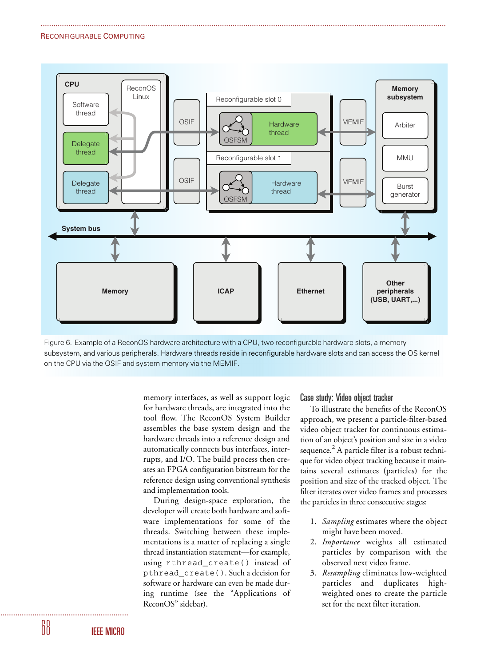

..............................................................................................................................................................................................

Figure 6. Example of a ReconOS hardware architecture with a CPU, two reconfigurable hardware slots, a memory subsystem, and various peripherals. Hardware threads reside in reconfigurable hardware slots and can access the OS kernel on the CPU via the OSIF and system memory via the MEMIF.

memory interfaces, as well as support logic for hardware threads, are integrated into the tool flow. The ReconOS System Builder assembles the base system design and the hardware threads into a reference design and automatically connects bus interfaces, interrupts, and I/O. The build process then creates an FPGA configuration bitstream for the reference design using conventional synthesis and implementation tools.

During design-space exploration, the developer will create both hardware and software implementations for some of the threads. Switching between these implementations is a matter of replacing a single thread instantiation statement—for example, using rthread\_create() instead of pthread\_create(). Such a decision for software or hardware can even be made during runtime (see the "Applications of ReconOS" sidebar).

#### Case study: Video object tracker

To illustrate the benefits of the ReconOS approach, we present a particle-filter-based video object tracker for continuous estimation of an object's position and size in a video sequence. $2$  A particle filter is a robust technique for video object tracking because it maintains several estimates (particles) for the position and size of the tracked object. The filter iterates over video frames and processes the particles in three consecutive stages:

- 1. Sampling estimates where the object might have been moved.
- 2. Importance weights all estimated particles by comparison with the observed next video frame.
- 3. Resampling eliminates low-weighted particles and duplicates highweighted ones to create the particle set for the next filter iteration.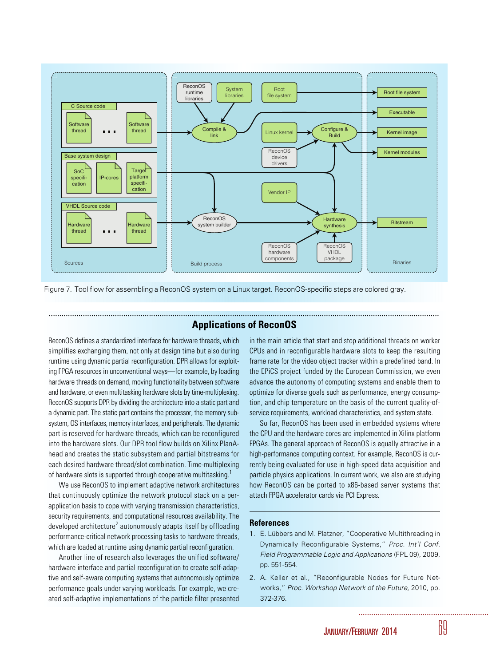

Figure 7. Tool flow for assembling a ReconOS system on a Linux target. ReconOS-specific steps are colored gray.

### Applications of ReconOS

.......................................................................................................................................................................................

ReconOS defines a standardized interface for hardware threads, which simplifies exchanging them, not only at design time but also during runtime using dynamic partial reconfiguration. DPR allows for exploiting FPGA resources in unconventional ways—for example, by loading hardware threads on demand, moving functionality between software and hardware, or even multitasking hardware slots by time-multiplexing. ReconOS supports DPR by dividing the architecture into a static part and a dynamic part. The static part contains the processor, the memory subsystem, OS interfaces, memory interfaces, and peripherals. The dynamic part is reserved for hardware threads, which can be reconfigured into the hardware slots. Our DPR tool flow builds on Xilinx PlanAhead and creates the static subsystem and partial bitstreams for each desired hardware thread/slot combination. Time-multiplexing of hardware slots is supported through cooperative multitasking.<sup>1</sup>

We use ReconOS to implement adaptive network architectures that continuously optimize the network protocol stack on a perapplication basis to cope with varying transmission characteristics, security requirements, and computational resources availability. The developed architecture<sup>2</sup> autonomously adapts itself by offloading performance-critical network processing tasks to hardware threads, which are loaded at runtime using dynamic partial reconfiguration.

Another line of research also leverages the unified software/ hardware interface and partial reconfiguration to create self-adaptive and self-aware computing systems that autonomously optimize performance goals under varying workloads. For example, we created self-adaptive implementations of the particle filter presented

in the main article that start and stop additional threads on worker CPUs and in reconfigurable hardware slots to keep the resulting frame rate for the video object tracker within a predefined band. In the EPiCS project funded by the European Commission, we even advance the autonomy of computing systems and enable them to optimize for diverse goals such as performance, energy consumption, and chip temperature on the basis of the current quality-ofservice requirements, workload characteristics, and system state.

So far, ReconOS has been used in embedded systems where the CPU and the hardware cores are implemented in Xilinx platform FPGAs. The general approach of ReconOS is equally attractive in a high-performance computing context. For example, ReconOS is currently being evaluated for use in high-speed data acquisition and particle physics applications. In current work, we also are studying how ReconOS can be ported to x86-based server systems that attach FPGA accelerator cards via PCI Express.

#### **References**

- 1. E. Lübbers and M. Platzner, "Cooperative Multithreading in Dynamically Reconfigurable Systems," Proc. Int'l Conf. Field Programmable Logic and Applications (FPL 09), 2009, pp. 551-554.
- 2. A. Keller et al., "Reconfigurable Nodes for Future Networks," Proc. Workshop Network of the Future, 2010, pp. 372-376.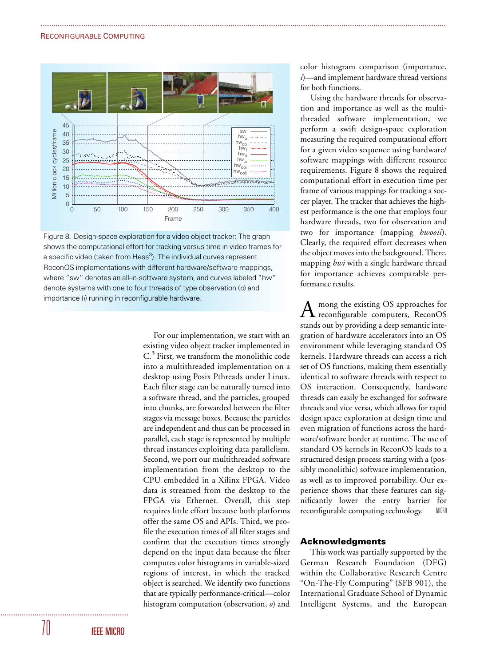

..............................................................................................................................................................................................

Figure 8. Design-space exploration for a video object tracker: The graph shows the computational effort for tracking versus time in video frames for a specific video (taken from Hess<sup>3</sup>). The individual curves represent ReconOS implementations with different hardware/software mappings, where "sw" denotes an all-in-software system, and curves labeled "hw" denote systems with one to four threads of type observation (o) and importance  $(i)$  running in reconfigurable hardware.

For our implementation, we start with an existing video object tracker implemented in  $C<sup>3</sup>$  First, we transform the monolithic code into a multithreaded implementation on a desktop using Posix Pthreads under Linux. Each filter stage can be naturally turned into a software thread, and the particles, grouped into chunks, are forwarded between the filter stages via message boxes. Because the particles are independent and thus can be processed in parallel, each stage is represented by multiple thread instances exploiting data parallelism. Second, we port our multithreaded software implementation from the desktop to the CPU embedded in a Xilinx FPGA. Video data is streamed from the desktop to the FPGA via Ethernet. Overall, this step requires little effort because both platforms offer the same OS and APIs. Third, we profile the execution times of all filter stages and confirm that the execution times strongly depend on the input data because the filter computes color histograms in variable-sized regions of interest, in which the tracked object is searched. We identify two functions that are typically performance-critical—color histogram computation (observation,  $\rho$ ) and

color histogram comparison (importance, i)—and implement hardware thread versions for both functions.

Using the hardware threads for observation and importance as well as the multithreaded software implementation, we perform a swift design-space exploration measuring the required computational effort for a given video sequence using hardware/ software mappings with different resource requirements. Figure 8 shows the required computational effort in execution time per frame of various mappings for tracking a soccer player. The tracker that achieves the highest performance is the one that employs four hardware threads, two for observation and two for importance (mapping *hwooii*). Clearly, the required effort decreases when the object moves into the background. There, mapping *hwi* with a single hardware thread for importance achieves comparable performance results.

A mong the existing OS approaches for reconfigurable computers, ReconOS stands out by providing a deep semantic integration of hardware accelerators into an OS environment while leveraging standard OS kernels. Hardware threads can access a rich set of OS functions, making them essentially identical to software threads with respect to OS interaction. Consequently, hardware threads can easily be exchanged for software threads and vice versa, which allows for rapid design space exploration at design time and even migration of functions across the hardware/software border at runtime. The use of standard OS kernels in ReconOS leads to a structured design process starting with a (possibly monolithic) software implementation, as well as to improved portability. Our experience shows that these features can significantly lower the entry barrier for reconfigurable computing technology. MICRO

#### Acknowledgments

This work was partially supported by the German Research Foundation (DFG) within the Collaborative Research Centre "On-The-Fly Computing" (SFB 901), the International Graduate School of Dynamic Intelligent Systems, and the European